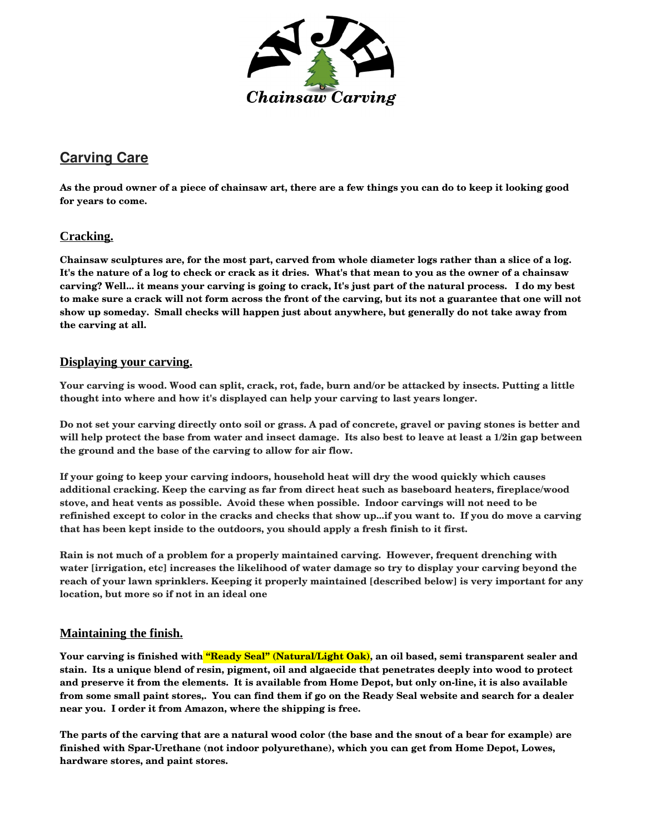

# **Carving Care**

**As the proud owner of a piece of chainsaw art, there are a few things you can do to keep it looking good for years to come.**

## **Cracking.**

**Chainsaw sculptures are, for the most part, carved from whole diameter logs rather than a slice of a log. It's the nature of a log to check or crack as it dries. What's that mean to you as the owner of a chainsaw carving? Well... it means your carving is going to crack, It's just part of the natural process. I do my best to make sure a crack will not form across the front of the carving, but its not a guarantee that one will not show up someday. Small checks will happen just about anywhere, but generally do not take away from the carving at all.**

### **Displaying your carving.**

**Your carving is wood. Wood can split, crack, rot, fade, burn and/or be attacked by insects. Putting a little thought into where and how it's displayed can help your carving to last years longer.**

**Do not set your carving directly onto soil or grass. A pad of concrete, gravel or paving stones is better and will help protect the base from water and insect damage. Its also best to leave at least a 1/2in gap between the ground and the base of the carving to allow for air flow.**

**If your going to keep your carving indoors, household heat will dry the wood quickly which causes additional cracking. Keep the carving as far from direct heat such as baseboard heaters, fireplace/wood stove, and heat vents as possible. Avoid these when possible. Indoor carvings will not need to be refinished except to color in the cracks and checks that show up...if you want to. If you do move a carving that has been kept inside to the outdoors, you should apply a fresh finish to it first.**

**Rain is not much of a problem for a properly maintained carving. However, frequent drenching with water [irrigation, etc] increases the likelihood of water damage so try to display your carving beyond the reach of your lawn sprinklers. Keeping it properly maintained [described below] is very important for any location, but more so if not in an ideal one**

#### **Maintaining the finish.**

**Your carving is finished with "Ready Seal" (Natural/Light Oak), an oil based, semi transparent sealer and stain. Its a unique blend of resin, pigment, oil and algaecide that penetrates deeply into wood to protect**  and preserve it from the elements. It is available from Home Depot, but only on-line, it is also available **from some small paint stores,. You can find them if go on the Ready Seal website and search for a dealer near you. I order it from Amazon, where the shipping is free.**

**The parts of the carving that are a natural wood color (the base and the snout of a bear for example) are**  finished with Spar-Urethane (not indoor polyurethane), which you can get from Home Depot, Lowes, **hardware stores, and paint stores.**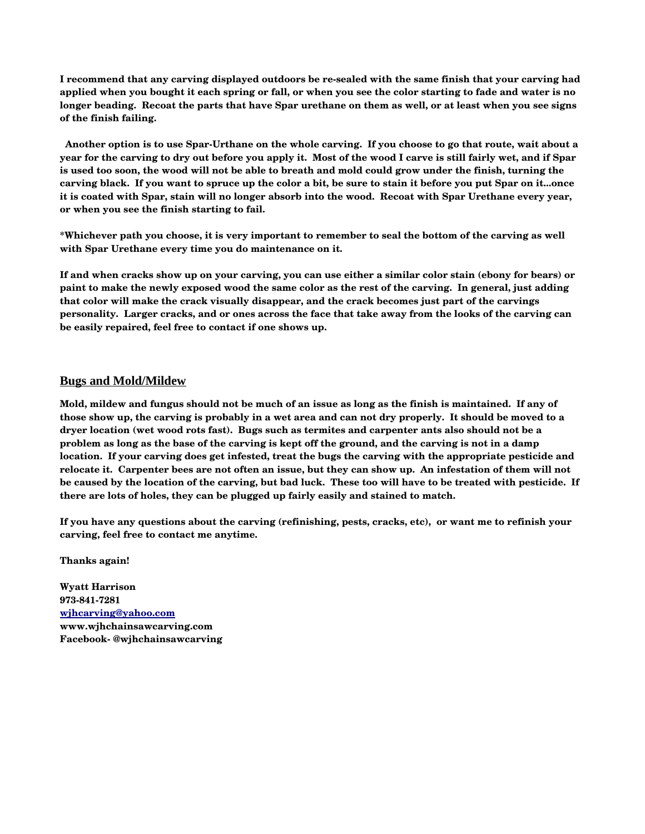**I recommend that any carving displayed outdoors be resealed with the same finish that your carving had applied when you bought it each spring or fall, or when you see the color starting to fade and water is no longer beading. Recoat the parts that have Spar urethane on them as well, or at least when you see signs of the finish failing.**

 **Another option is to use SparUrthane on the whole carving. If you choose to go that route, wait about a year for the carving to dry out before you apply it. Most of the wood I carve is still fairly wet, and if Spar is used too soon, the wood will not be able to breath and mold could grow under the finish, turning the carving black. If you want to spruce up the color a bit, be sure to stain it before you put Spar on it...once it is coated with Spar, stain will no longer absorb into the wood. Recoat with Spar Urethane every year, or when you see the finish starting to fail.**

**\*Whichever path you choose, it is very important to remember to seal the bottom of the carving as well with Spar Urethane every time you do maintenance on it.**

**If and when cracks show up on your carving, you can use either a similar color stain (ebony for bears) or paint to make the newly exposed wood the same color as the rest of the carving. In general, just adding that color will make the crack visually disappear, and the crack becomes just part of the carvings personality. Larger cracks, and or ones across the face that take away from the looks of the carving can be easily repaired, feel free to contact if one shows up.**

#### **Bugs and Mold/Mildew**

**Mold, mildew and fungus should not be much of an issue as long as the finish is maintained. If any of those show up, the carving is probably in a wet area and can not dry properly. It should be moved to a dryer location (wet wood rots fast). Bugs such as termites and carpenter ants also should not be a problem as long as the base of the carving is kept off the ground, and the carving is not in a damp location. If your carving does get infested, treat the bugs the carving with the appropriate pesticide and relocate it. Carpenter bees are not often an issue, but they can show up. An infestation of them will not be caused by the location of the carving, but bad luck. These too will have to be treated with pesticide. If there are lots of holes, they can be plugged up fairly easily and stained to match.**

**If you have any questions about the carving (refinishing, pests, cracks, etc), or want me to refinish your carving, feel free to contact me anytime.** 

**Thanks again!**

**Wyatt Harrison 9738417281 [wjhcarving@yahoo.com](mailto:wjhcarving@yahoo.com) www.wjhchainsawcarving.com Facebook @wjhchainsawcarving**